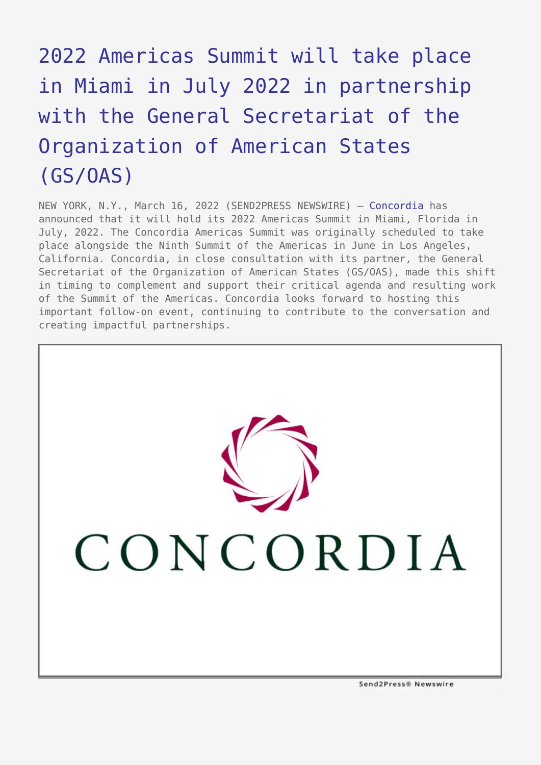## [2022 Americas Summit will take place](https://www.send2press.com/wire/2022-americas-summit-will-take-place-in-miami-in-july-2022-in-partnership-with-the-general-secretariat-of-the-organization-of-american-states-gs-oas/) [in Miami in July 2022 in partnership](https://www.send2press.com/wire/2022-americas-summit-will-take-place-in-miami-in-july-2022-in-partnership-with-the-general-secretariat-of-the-organization-of-american-states-gs-oas/) [with the General Secretariat of the](https://www.send2press.com/wire/2022-americas-summit-will-take-place-in-miami-in-july-2022-in-partnership-with-the-general-secretariat-of-the-organization-of-american-states-gs-oas/) [Organization of American States](https://www.send2press.com/wire/2022-americas-summit-will-take-place-in-miami-in-july-2022-in-partnership-with-the-general-secretariat-of-the-organization-of-american-states-gs-oas/) [\(GS/OAS\)](https://www.send2press.com/wire/2022-americas-summit-will-take-place-in-miami-in-july-2022-in-partnership-with-the-general-secretariat-of-the-organization-of-american-states-gs-oas/)

NEW YORK, N.Y., March 16, 2022 (SEND2PRESS NEWSWIRE) — [Concordia](https://www.concordia.net/) has announced that it will hold its 2022 Americas Summit in Miami, Florida in July, 2022. The Concordia Americas Summit was originally scheduled to take place alongside the Ninth Summit of the Americas in June in Los Angeles, California. Concordia, in close consultation with its partner, the General Secretariat of the Organization of American States (GS/OAS), made this shift in timing to complement and support their critical agenda and resulting work of the Summit of the Americas. Concordia looks forward to hosting this important follow-on event, continuing to contribute to the conversation and creating impactful partnerships.